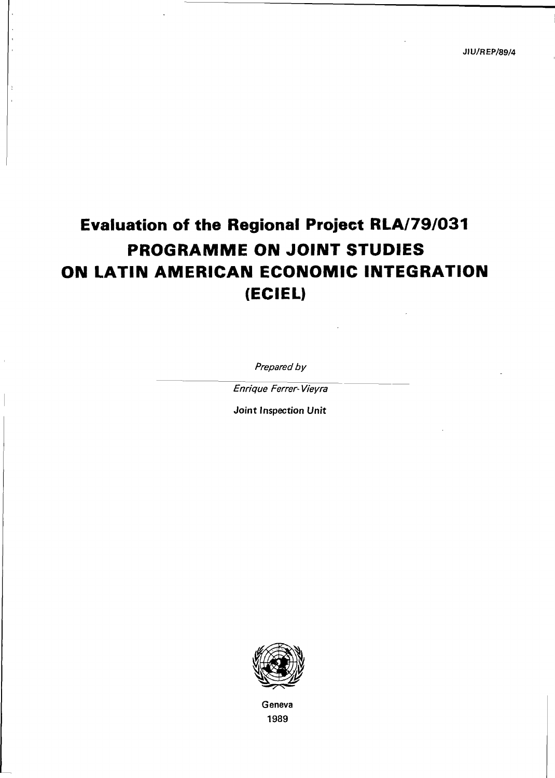# Evaluation of the Regional Project RLA/79/031 PROGRAMME ON JOINT STUDIES ON LATIN AMERICAN ECONOMIC INTEGRATION (ECIEL)

Prepared by

Enrique Ferrer- Vieyra

Joint Inspection Unit



Geneva 1989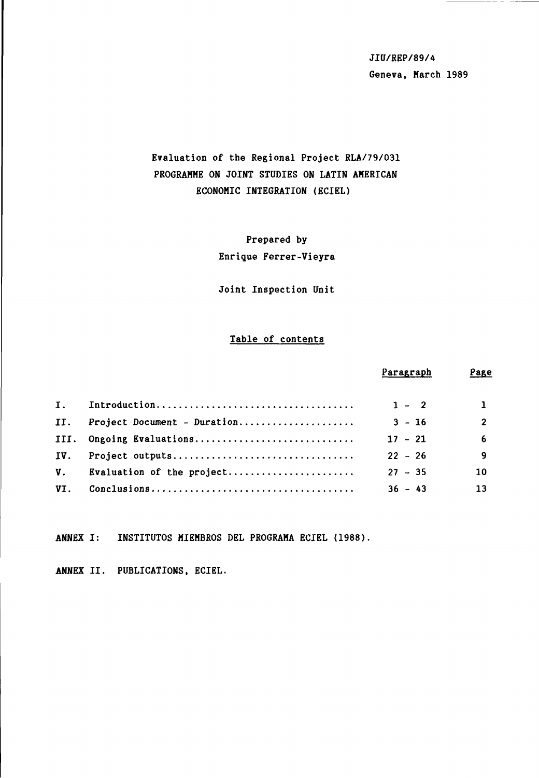JIU/REP/89/4 Geneva, March 1989

# Evaluation of the Regional Project RLA/79/031 PROGRAMME ON JOINT STUDIES ON LATIN AMERICAN ECONOMIC INTEGRATION (ECIEL)

Prepared by Enrique Ferrer-Vieyra

Joint Inspection Unit

# Table of contents

|                               |                              | Paragraph | Page           |
|-------------------------------|------------------------------|-----------|----------------|
|                               |                              |           |                |
| $\mathbf{I}$ , $\blacksquare$ |                              | $1 - 2$   | $\mathbf{1}$   |
| II.                           | Project Document - Duration  | $3 - 16$  | $\overline{2}$ |
| III.                          | Ongoing Evaluations          | $17 - 21$ | 6              |
| IV.                           |                              | $22 - 26$ | $\mathbf{9}$   |
|                               | V. Evaluation of the project | $27 - 35$ | 10             |
| VI.                           |                              | $36 - 43$ | 13             |

ANNEX I: INSTITUTOS MIEMBROS DEL PROGRAMA ECIEL (1988).

ANNEX II. PUBLICATIONS, ECIEL.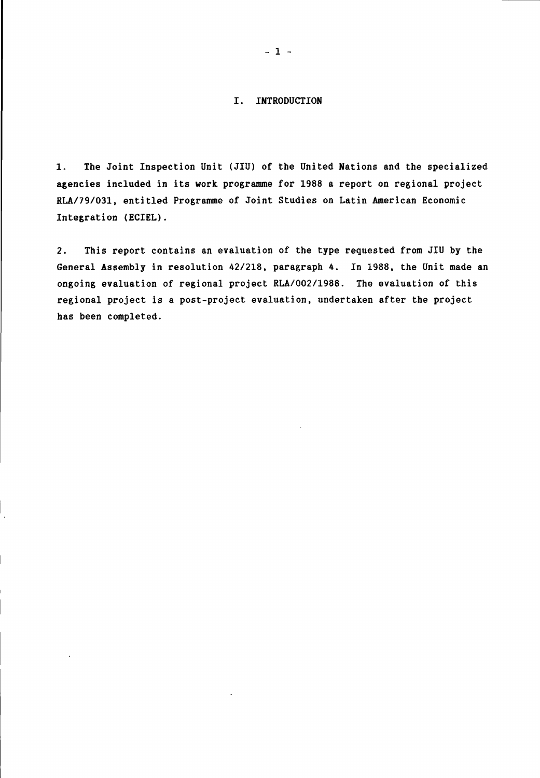## I. INTRODUCTION

1. The Joint Inspection Unit (JIU) of the United Nations and the specialized agencies included in its work, programme for 1988 a report on regional project RLA/79/031, entitled Programme of Joint Studies on Latin American Economic Integration (ECIEL).

2. This report contains an evaluation of the type requested from JIU by the General Assembly in resolution 42/218, paragraph 4. In 1988, the Unit made an ongoing evaluation of regional project RLA/002/1988. The evaluation of this regional project is a post-project evaluation, undertaken after the project has been completed.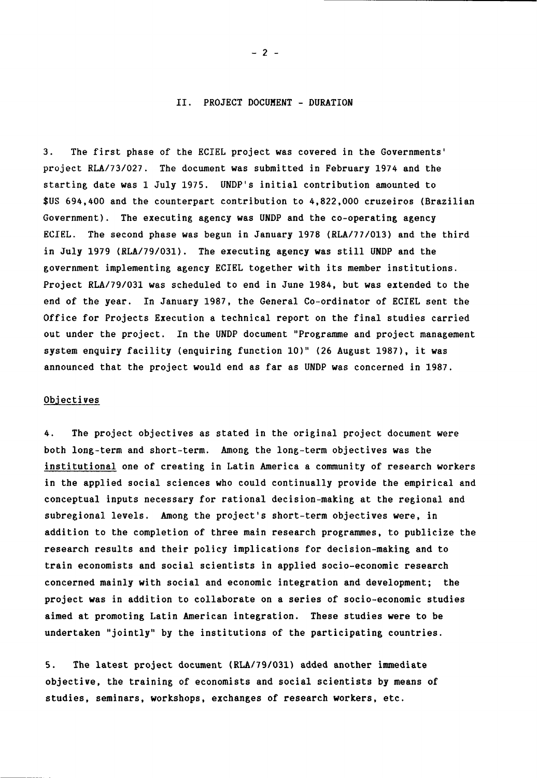#### II. PROJECT DOCUMENT - DURATION

3. The first phase of the ECIEL project was covered in the Governments' project RLA/73/027. The document was submitted in February 1974 and the starting date was 1 July 1975. UNDP's initial contribution amounted to \$US 694,400 and the counterpart contribution to 4,822,000 cruzeiros (Brazilian Government). The executing agency was UNDP and the co-operating agency ECIEL. The second phase was begun in January 1978 (RLA/77/013) and the third in July 1979 (RLA/79/031). The executing agency was still UNDP and the government implementing agency ECIEL together with its member institutions. Project RLA/79/031 was scheduled to end in June 1984, but was extended to the end of the year. In January 1987, the General Co-ordinator of ECIEL sent the Office for Projects Execution a technical report on the final studies carried out under the project. In the UNDP document "Programme and project management system enquiry facility (enquiring function 10)" (26 August 1987), it was announced that the project would end as far as UNDP was concerned in 1987.

#### Objectives

4. The project objectives as stated in the original project document were both long-term and short-term. Among the long-term objectives was the institutional one of creating in Latin America a community of research workers in the applied social sciences who could continually provide the empirical and conceptual inputs necessary for rational decision-making at the regional and subregional levels. Among the project's short-term objectives were, in addition to the completion of three main research programmes, to publicize the research results and their policy implications for decision-making and to train economists and social scientists in applied socio-economic research concerned mainly with social and economic integration and development; the project was in addition to collaborate on a series of socio-economic studies aimed at promoting Latin American integration. These studies were to be undertaken "jointly" by the institutions of the participating countries.

5. The latest project document (RLA/79/031) added another immediate objective, the training of economists and social scientists by means of studies, seminars, workshops, exchanges of research workers, etc.

- 2 -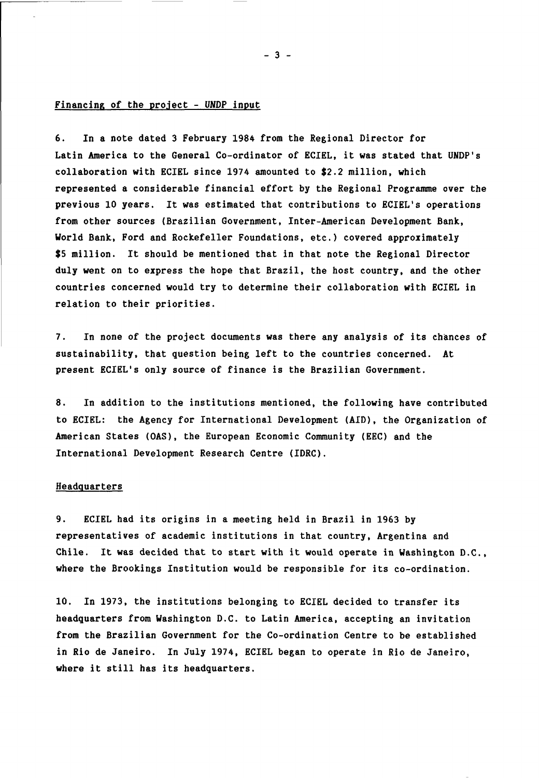#### Financing of the project - UNDP input

6. In a note dated 3 February 1984 from the Regional Director for Latin America to the General Co-ordinator of ECIEL, it was stated that UNDP's collaboration with ECIEL since 1974 amounted to \$2.2 million, which represented a considerable financial effort by the Regional Programme over the previous 10 years. It was estimated that contributions to ECIEL's operations from other sources (Brazilian Government, Inter-American Development Bank, World Bank, Ford and Rockefeller Foundations, etc.) covered approximately \$5 million. It should be mentioned that in that note the Regional Director duly went on to express the hope that Brazil, the host country, and the other countries concerned would try to determine their collaboration with ECIEL in relation to their priorities.

7. In none of the project documents was there any analysis of its chances of sustainability, that question being left to the countries concerned. At present ECIEL's only source of finance is the Brazilian Government.

8. In addition to the institutions mentioned, the following have contributed to ECIEL: the Agency for International Development (AID), the Organization of American States (OAS), the European Economic Community (EEC) and the International Development Research Centre (IDRC).

#### **Headquarters**

9. ECIEL had its origins in a meeting held in Brazil in 1963 by representatives of academic institutions in that country, Argentina and Chile. It was decided that to start with it would operate in Washington D.C., where the Brookings Institution would be responsible for its co-ordination.

10. In 1973, the institutions belonging to ECIEL decided to transfer its headquarters from Washington D.C. to Latin America, accepting an invitation from the Brazilian Government for the Co-ordination Centre to be established in Rio de Janeiro. In July 1974, ECIEL began to operate in Rio de Janeiro, where it still has its headquarters.

- 3 -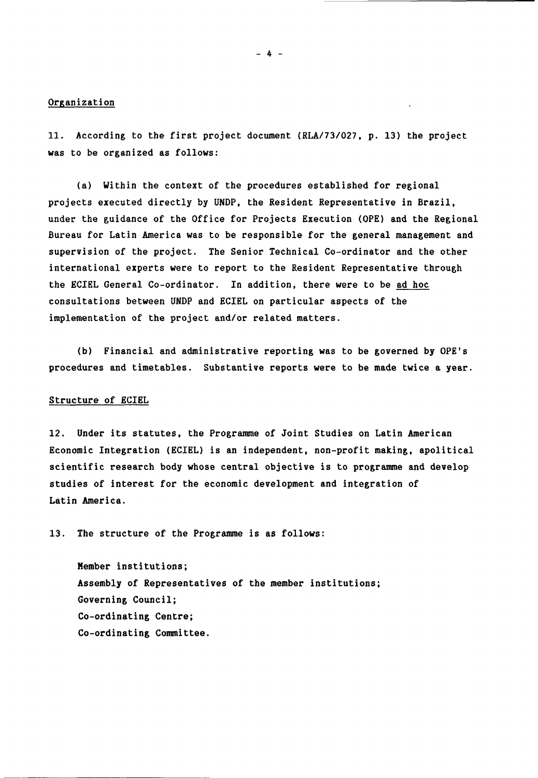#### Organization

11. According to the first project document (RLA/73/027, p. 13) the project was to be organized as follows:

(a) Within the context of the procedures established for regional projects executed directly by UNDP, the Resident Representative in Brazil, under the guidance of the Office for Projects Execution (OPE) and the Regional Bureau for Latin America was to be responsible for the general management and supervision of the project. The Senior Technical Co-ordinator and the other international experts were to report to the Resident Representative through the ECIEL General Co-ordinator. In addition, there were to be ad hoc consultations between UNDP and ECIEL on particular aspects of the implementation of the project and/or related matters.

(b) Financial and administrative reporting was to be governed by OPE's procedures and timetables. Substantive reports were to be made twice a year.

#### Structure of ECIEL

12. Under its statutes, the Programme of Joint Studies on Latin American Economic Integration (ECIEL) is an independent, non-profit making, apolitical scientific research body whose central objective is to programme and develop studies of interest for the economic development and integration of Latin America.

13. The structure of the Programme is as follows:

Member institutions; Assembly of Representatives of the member institutions; Governing Council; Co-ordinating Centre; Co-ordinating Committee.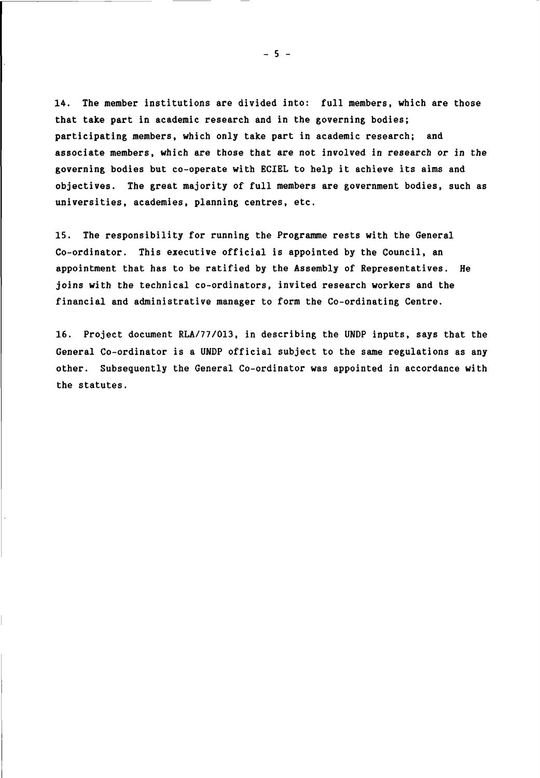14. The member institutions are divided into: full members, which are those that take part in academic research and in the governing bodies; participating members, which only take part in academic research; and associate members, which are those that are not involved in research or in the governing bodies but co-operate with ECIEL to help it achieve its aims and objectives. The great majority of full members are government bodies, such as universities, academies, planning centres, etc.

15. The responsibility for running the Programme rests with the General Co-ordinator. This executive official is appointed by the Council, an appointment that has to be ratified by the Assembly of Representatives. He joins with the technical co-ordinators, invited research workers and the financial and administrative manager to form the Co-ordinating Centre.

16. Project document RLA/77/013, in describing the UNDP inputs, says that the General Co-ordinator is a UNDP official subject to the same regulations as any other. Subsequently the General Co-ordinator was appointed in accordance with the statutes.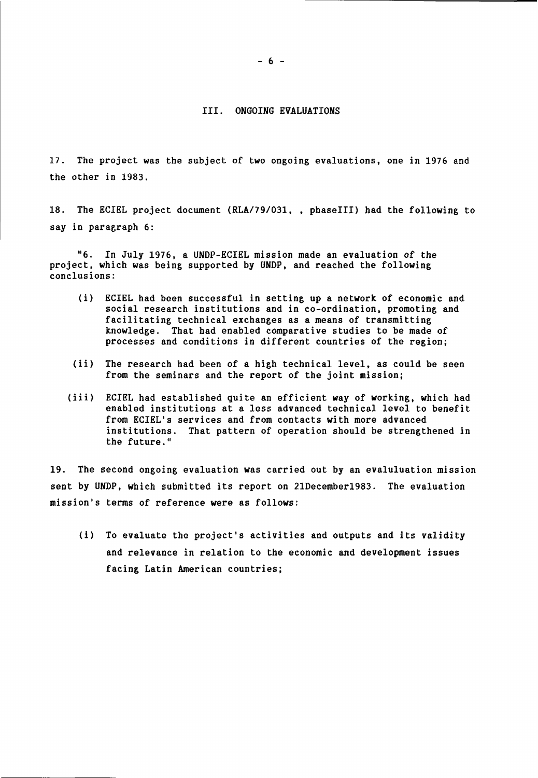## III. ONGOING EVALUATIONS

17. The project was the subject of two ongoing evaluations, one in 1976 and the other in 1983.

18. The ECIEL project document (RLA/79/031, , phaselll) had the following to say in paragraph 6:

"6. In July 1976, a UNDP-ECIEL mission made an evaluation of the project, which was being supported by UNDP, and reached the following conclusions:

- (i) ECIEL had been successful in setting up a network of economic and social research institutions and in co-ordination, promoting and facilitating technical exchanges as a means of transmitting knowledge. That had enabled comparative studies to be made of processes and conditions in different countries of the region;
- (ii) The research had been of a high technical level, as could be seen from the seminars and the report of the joint mission;
- (iii) ECIEL had established quite an efficient way of working, which had enabled institutions at a less advanced technical level to benefit from ECIEL's services and from contacts with more advanced institutions. That pattern of operation should be strengthened in the future."

19. The second ongoing evaluation was carried out by an evaluluation mission sent by UNDP, which submitted its report on 21Decemberl983. The evaluation mission's terms of reference were as follows:

(i) To evaluate the project's activities and outputs and its validity and relevance in relation to the economic and development issues facing Latin American countries;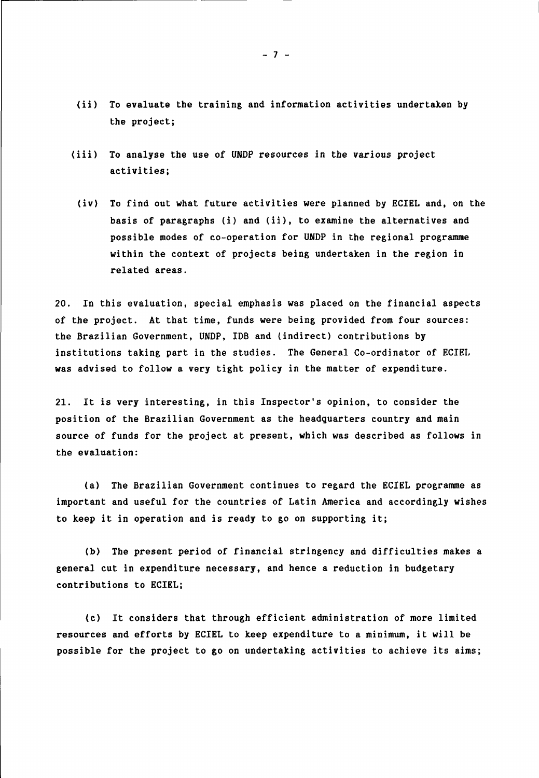- (ii) To evaluate the training and information activities undertaken by the project;
- (iii) To analyse the use of UNDP resources in the various project activities;
	- (iv) To find out what future activities were planned by ECIEL and, on the basis of paragraphs (i) and (ii), to examine the alternatives and possible modes of co-operation for UNDP in the regional programme within the context of projects being undertaken in the region in related areas.

20. In this evaluation, special emphasis was placed on the financial aspects of the project. At that time, funds were being provided from four sources: the Brazilian Government, UNDP, IDB and (indirect) contributions by institutions taking part in the studies. The General Co-ordinator of ECIEL was advised to follow a very tight policy in the matter of expenditure.

21. It is very interesting, in this Inspector's opinion, to consider the position of the Brazilian Government as the headquarters country and main source of funds for the project at present, which was described as follows in the evaluation:

(a) The Brazilian Government continues to regard the ECIEL programme as important and useful for the countries of Latin America and accordingly wishes to keep it in operation and is ready to go on supporting it;

(b) The present period of financial stringency and difficulties makes a general cut in expenditure necessary, and hence a reduction in budgetary contributions to ECIEL;

(c) It considers that through efficient administration of more limited resources and efforts by ECIEL to keep expenditure to a minimum, it will be possible for the project to go on undertaking activities to achieve its aims;

 $-7 -$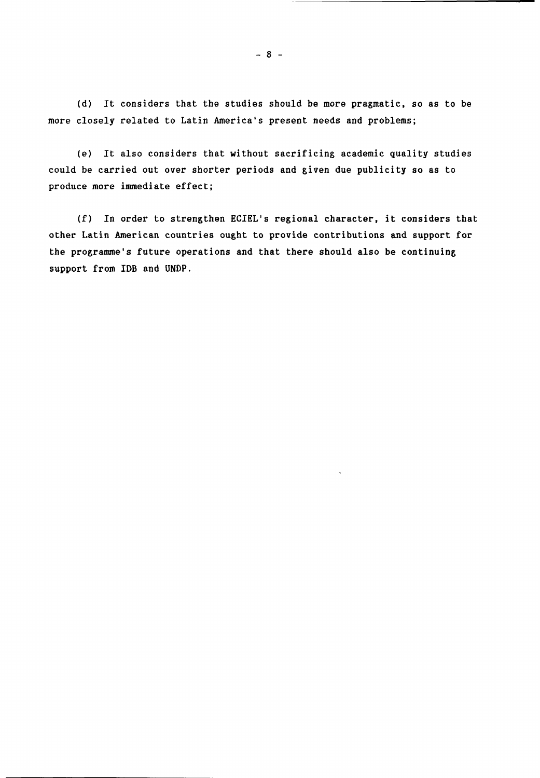(d) It considers that the studies should be more pragmatic, so as to be more closely related to Latin America's present needs and problems;

(e) It also considers that without sacrificing academic quality studies could be carried out over shorter periods and given due publicity so as to produce more immediate effect;

(f) In order to strengthen ECIEL's regional character, it considers that other Latin American countries ought to provide contributions and support for the programme's future operations and that there should also be continuing support from IDB and UNDP.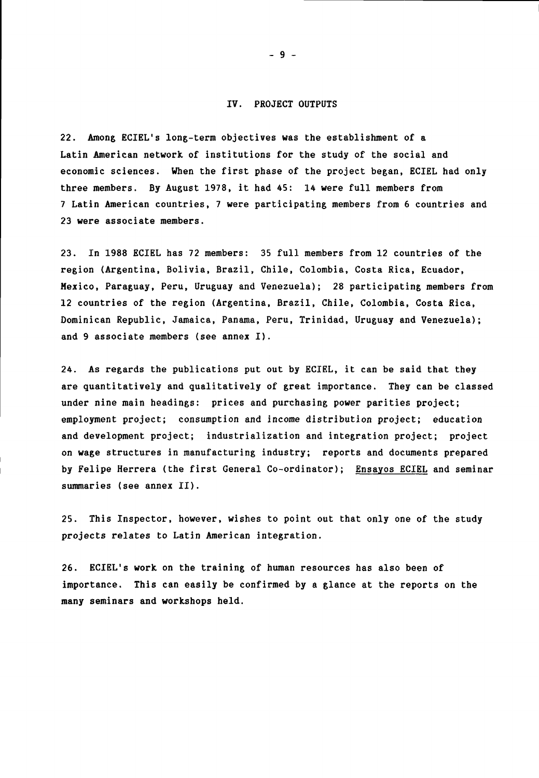#### IV. PROJECT OUTPUTS

22. Among ECIEL's long-term objectives was the establishment of a Latin American network of institutions for the study of the social and economic sciences. When the first phase of the project began, ECIEL had only three members. By August 1978, it had 45: 14 were full members from 7 Latin American countries, 7 were participating members from 6 countries and 23 were associate members.

23. In 1988 ECIEL has 72 members: 35 full members from 12 countries of the region (Argentina, Bolivia, Brazil, Chile, Colombia, Costa Rica, Ecuador, Mexico, Paraguay, Peru, Uruguay and Venezuela); 28 participating members from 12 countries of the region (Argentina, Brazil, Chile, Colombia, Costa Rica, Dominican Republic, Jamaica, Panama, Peru, Trinidad, Uruguay and Venezuela); and 9 associate members (see annex I).

24. As regards the publications put out by ECIEL, it can be said that they are quantitatively and qualitatively of great importance. They can be classed under nine main headings: prices and purchasing power parities project; employment project; consumption and income distribution project; education and development project; industrialization and integration project; project on wage structures in manufacturing industry; reports and documents prepared by Felipe Herrera (the first General Co-ordinator); Ensayos ECIEL and seminar summaries (see annex II).

25. This Inspector, however, wishes to point out that only one of the study projects relates to Latin American integration.

26. ECIEL's work on the training of human resources has also been of importance. This can easily be confirmed by a glance at the reports on the many seminars and workshops held.

- 9 -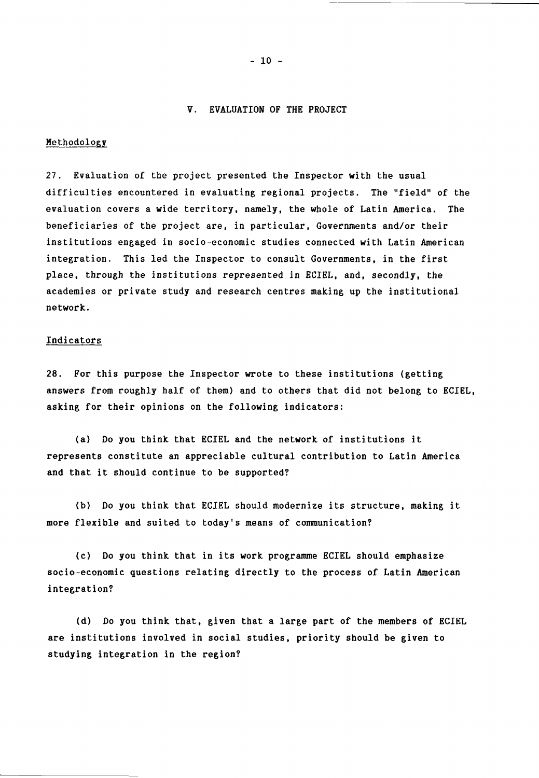#### V. EVALUATION OF THE PROJECT

#### Methodology

27. Evaluation of the project presented the Inspector with the usual difficulties encountered in evaluating regional projects. The "field" of the evaluation covers a wide territory, namely, the whole of Latin America. The beneficiaries of the project are, in particular, Governments and/or their institutions engaged in socio-economic studies connected with Latin American integration. This led the Inspector to consult Governments, in the first place, through the institutions represented in ECIEL, and, secondly, the academies or private study and research centres making up the institutional network.

#### Indicators

28. For this purpose the Inspector wrote to these institutions (getting answers from roughly half of them) and to others that did not belong to ECIEL, asking for their opinions on the following indicators:

(a) Do you think that ECIEL and the network of institutions it represents constitute an appreciable cultural contribution to Latin America and that it should continue to be supported?

(b) Do you think that ECIEL should modernize its structure, making it more flexible and suited to today's means of communication?

(c) Do you think that in its work programme ECIEL should emphasize socio-economic questions relating directly to the process of Latin American integration?

(d) Do you think that, given that a large part of the members of ECIEL are institutions involved in social studies, priority should be given to studying integration in the region?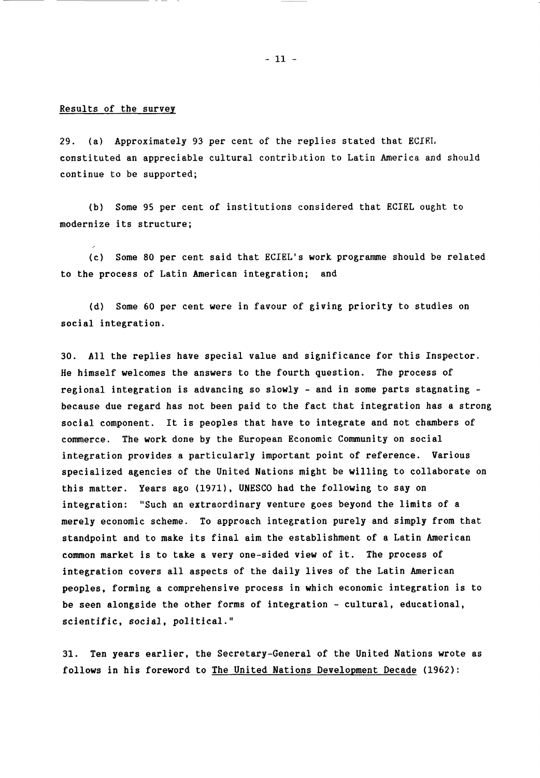- 11 -

#### Results of the survey

29. (a) Approximately 93 per cent of the replies stated that ECIRL constituted an appreciable cultural contribution to Latin America and should continue to be supported;

(b) Some 95 per cent of institutions considered that ECIEL ought to modernize its structure;

(c) Some 80 per cent said that ECIEL's work programme should be related to the process of Latin American integration; and

(d) Some 60 per cent were in favour of giving priority to studies on social integration.

30. All the replies have special value and significance for this Inspector. He himself welcomes the answers to the fourth question. The process of regional integration is advancing so slowly - and in some parts stagnating because due regard has not been paid to the fact that integration has a strong social component. It is peoples that have to integrate and not chambers of commerce. The work done by the European Economic Community on social integration provides a particularly important point of reference. Various specialized agencies of the United Nations might be willing to collaborate on this matter. Years ago (1971), UNESCO had the following to say on integration: "Such an extraordinary venture goes beyond the limits of a merely economic scheme. To approach integration purely and simply from that standpoint and to make its final aim the establishment of a Latin American common market is to take a very one-sided view of it. The process of integration covers all aspects of the daily lives of the Latin American peoples, forming a comprehensive process in which economic integration is to be seen alongside the other forms of integration - cultural, educational, scientific, social, political."

31. Ten years earlier, the Secretary-General of the United Nations wrote as follows in his foreword to The United Nations Development Decade (1962):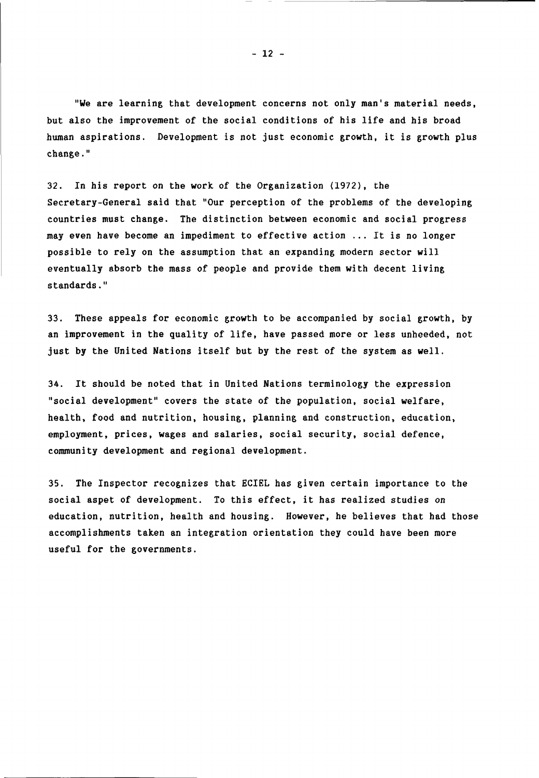"We are learning that development concerns not only man's material needs, but also the improvement of the social conditions of his life and his broad human aspirations. Development is not just economic growth, it is growth plus change."

32. In his report on the work of the Organization (1972), the Secretary-General said that "Our perception of the problems of the developing countries must change. The distinction between economic and social progress may even have become an impediment to effective action ... It is no longer possible to rely on the assumption that an expanding modern sector will eventually absorb the mass of people and provide them with decent living standards."

33. These appeals for economic growth to be accompanied by social growth, by an improvement in the quality of life, have passed more or less unheeded, not just by the United Nations itself but by the rest of the system as well.

34. It should be noted that in United Nations terminology the expression "social development" covers the state of the population, social welfare, health, food and nutrition, housing, planning and construction, education, employment, prices, wages and salaries, social security, social defence, community development and regional development.

35. The Inspector recognizes that ECIEL has given certain importance to the social aspet of development. To this effect, it has realized studies on education, nutrition, health and housing. However, he believes that had those accomplishments taken an integration orientation they could have been more useful for the governments.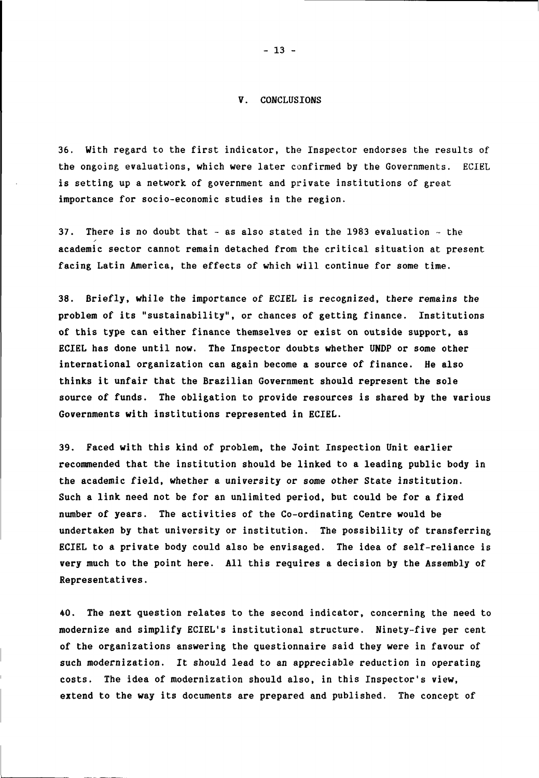#### V. CONCLUSIONS

36. With regard to the first indicator, the Inspector endorses the results of the ongoing evaluations, which were later confirmed by the Governments. ECIEL is setting up a network of government and private institutions of great importance for socio-economic studies in the region.

37. There is no doubt that  $-$  as also stated in the 1983 evaluation  $-$  the academic sector cannot remain detached from the critical situation at present facing Latin America, the effects of which will continue for some time.

38. Briefly, while the importance of ECIEL is recognized, there remains the problem of its "sustainability", or chances of getting finance. Institutions of this type can either finance themselves or exist on outside support, as ECIEL has done until now. The Inspector doubts whether UNDP or some other international organization can again become a source of finance. He also thinks it unfair that the Brazilian Government should represent the sole source of funds. The obligation to provide resources is shared by the various Governments with institutions represented in ECIEL.

39. Faced with this kind of problem, the Joint Inspection Unit earlier recommended that the institution should be linked to a leading public body in the academic field, whether a university or some other State institution. Such a link need not be for an unlimited period, but could be for a fixed number of years. The activities of the Co-ordinating Centre would be undertaken by that university or institution. The possibility of transferring ECIEL to a private body could also be envisaged. The idea of self-reliance is very much to the point here. All this requires a decision by the Assembly of Representatives.

40. The next question relates to the second indicator, concerning the need to modernize and simplify ECIEL's institutional structure. Ninety-five per cent of the organizations answering the questionnaire said they were in favour of such modernization. It should lead to an appreciable reduction in operating costs. The idea of modernization should also, in this Inspector's view, extend to the way its documents are prepared and published. The concept of

- 13 -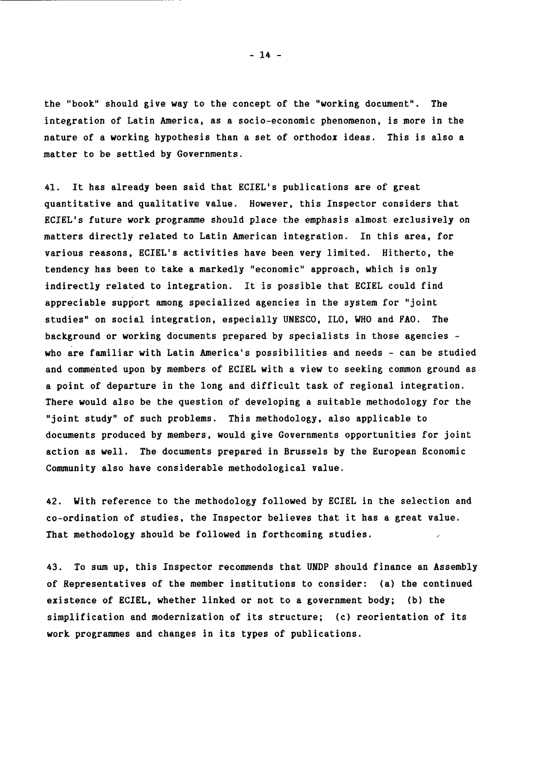the "book" should give way to the concept of the "working document". The integration of Latin America, as a socio-economic phenomenon, is more in the nature of a working hypothesis than a set of orthodox ideas. This is also a matter to be settled by Governments.

41. It has already been said that ECIEL's publications are of great quantitative and qualitative value. However, this Inspector considers that ECIEL's future work programme should place the emphasis almost exclusively on matters directly related to Latin American integration. In this area, for various reasons, ECIEL's activities have been very limited. Hitherto, the tendency has been to take a markedly "economic" approach, which is only indirectly related to integration. It is possible that ECIEL could find appreciable support among specialized agencies in the system for "joint studies" on social integration, especially UNESCO, ILO, WHO and FAO. The background or working documents prepared by specialists in those agencies who are familiar with Latin America's possibilities and needs - can be studied and commented upon by members of ECIEL with a view to seeking common ground as a point of departure in the long and difficult task of regional integration. There would also be the question of developing a suitable methodology for the "joint study" of such problems. This methodology, also applicable to documents produced by members, would give Governments opportunities for joint action as well. The documents prepared in Brussels by the European Economic Community also have considerable methodological value.

42. With reference to the methodology followed by ECIEL in the selection and co-ordination of studies, the Inspector believes that it has a great value. That methodology should be followed in forthcoming studies.  $\overline{a}$ 

43. To sum up, this Inspector recommends that UNDP should finance an Assembly of Representatives of the member institutions to consider: (a) the continued existence of ECIEL, whether linked or not to a government body; (b) the simplification and modernization of its structure; (c) reorientation of its work programmes and changes in its types of publications.

 $-14 -$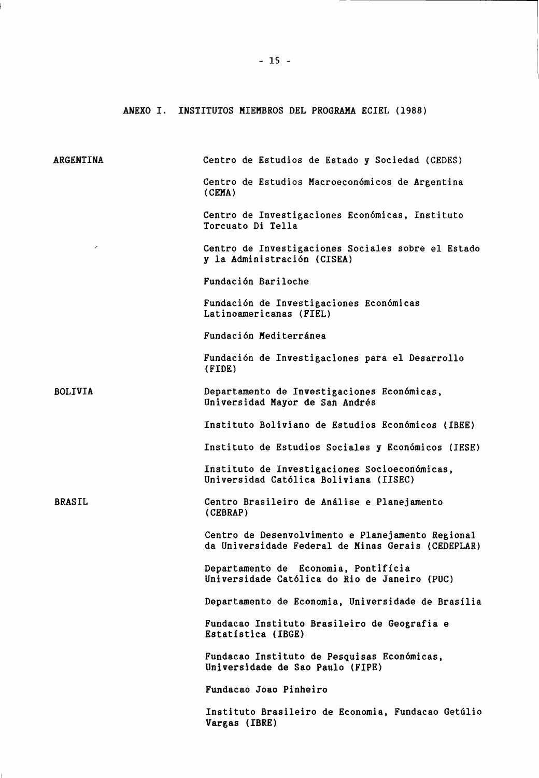ANEXO I. INSTITUTOS MIEMBROS DEL PROGRAMA ECIEL (1988)

| ARGENTINA                | Centro de Estudios de Estado y Sociedad (CEDES)                                                         |
|--------------------------|---------------------------------------------------------------------------------------------------------|
|                          | Centro de Estudios Macroeconómicos de Argentina<br>(CEMA)                                               |
|                          | Centro de Investigaciones Económicas, Instituto<br>Torcuato Di Tella                                    |
| $\overline{\phantom{a}}$ | Centro de Investigaciones Sociales sobre el Estado<br>y la Administración (CISEA)                       |
|                          | Fundación Bariloche                                                                                     |
|                          | Fundación de Investigaciones Económicas<br>Latinoamericanas (FIEL)                                      |
|                          | Fundación Mediterránea                                                                                  |
|                          | Fundación de Investigaciones para el Desarrollo<br>(FIDE)                                               |
| <b>BOLIVIA</b>           | Departamento de Investigaciones Económicas,<br>Universidad Mayor de San Andrés                          |
|                          | Instituto Boliviano de Estudios Económicos (IBEE)                                                       |
|                          | Instituto de Estudios Sociales y Económicos (IESE)                                                      |
|                          | Instituto de Investigaciones Socioeconómicas,<br>Universidad Católica Boliviana (IISEC)                 |
| <b>BRASIL</b>            | Centro Brasileiro de Análise e Planejamento<br>(CEBRAP)                                                 |
|                          | Centro de Desenvolvimento e Planejamento Regional<br>da Universidade Federal de Minas Gerais (CEDEPLAR) |
|                          | Departamento de Economia, Pontifícia<br>Universidade Católica do Rio de Janeiro (PUC)                   |
|                          | Departamento de Economia, Universidade de Brasília                                                      |
|                          | Fundacao Instituto Brasileiro de Geografia e<br>Estatística (IBGE)                                      |
|                          | Fundacao Instituto de Pesquisas Económicas,<br>Universidade de Sao Paulo (FIPE)                         |
|                          | Fundacao Joao Pinheiro                                                                                  |
|                          | Instituto Brasileiro de Economia, Fundacao Getúlio<br>Vargas (IBRE)                                     |

ĺ.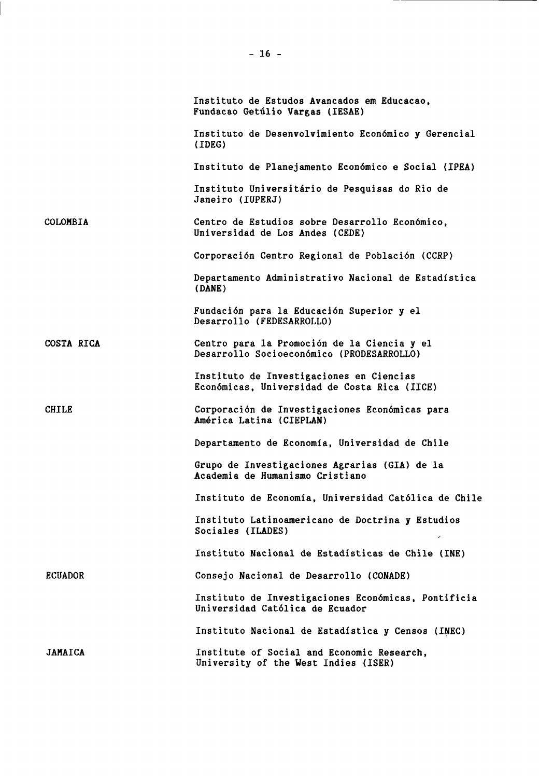|                | Instituto de Estudos Avancados em Educacao,<br>Fundacao Getúlio Vargas (IESAE)           |
|----------------|------------------------------------------------------------------------------------------|
|                | Instituto de Desenvolvimiento Económico y Gerencial<br>(IDEG)                            |
|                | Instituto de Planejamento Económico e Social (IPEA)                                      |
|                | Instituto Universitário de Pesquisas do Rio de<br>Janeiro (IUPERJ)                       |
| COLOMBIA       | Centro de Estudios sobre Desarrollo Económico,<br>Universidad de Los Andes (CEDE)        |
|                | Corporación Centro Regional de Población (CCRP)                                          |
|                | Departamento Administrativo Nacional de Estadística<br>(DANE)                            |
|                | Fundación para la Educación Superior y el<br>Desarrollo (FEDESARROLLO)                   |
| COSTA RICA     | Centro para la Promoción de la Ciencia y el<br>Desarrollo Socioeconómico (PRODESARROLLO) |
|                | Instituto de Investigaciones en Ciencias<br>Económicas, Universidad de Costa Rica (IICE) |
| <b>CHILE</b>   | Corporación de Investigaciones Económicas para<br>América Latina (CIEPLAN)               |
|                | Departamento de Economía, Universidad de Chile                                           |
|                | Grupo de Investigaciones Agrarias (GIA) de la<br>Academia de Humanismo Cristiano         |
|                | Instituto de Economía, Universidad Católica de Chile                                     |
|                | Instituto Latinoamericano de Doctrina y Estudios<br>Sociales (ILADES)                    |
|                | Instituto Nacional de Estadísticas de Chile (INE)                                        |
| <b>ECUADOR</b> | Consejo Nacional de Desarrollo (CONADE)                                                  |
|                | Instituto de Investigaciones Económicas, Pontificia<br>Universidad Católica de Ecuador   |
|                | Instituto Nacional de Estadística y Censos (INEC)                                        |
| <b>JAMAICA</b> | Institute of Social and Economic Research,<br>University of the West Indies (ISER)       |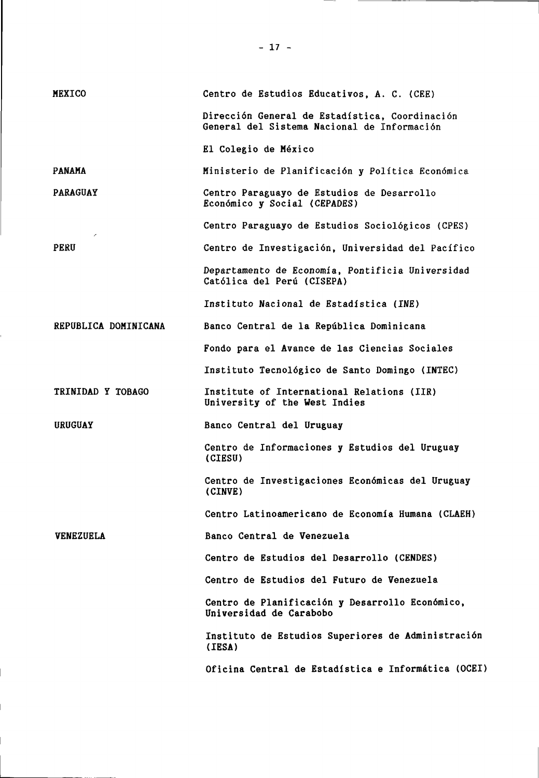| <b>MEXICO</b>        | Centro de Estudios Educativos, A. C. (CEE)                                                    |
|----------------------|-----------------------------------------------------------------------------------------------|
|                      | Dirección General de Estadística, Coordinación<br>General del Sistema Nacional de Información |
|                      | El Colegio de México                                                                          |
| <b>PANAMA</b>        | Ministerio de Planificación y Política Económica                                              |
| <b>PARAGUAY</b>      | Centro Paraguayo de Estudios de Desarrollo<br>Económico y Social (CEPADES)                    |
| ╭                    | Centro Paraguayo de Estudios Sociológicos (CPES)                                              |
| <b>PERU</b>          | Centro de Investigación, Universidad del Pacífico                                             |
|                      | Departamento de Economía, Pontificia Universidad<br>Católica del Perú (CISEPA)                |
|                      | Instituto Nacional de Estadística (INE)                                                       |
| REPUBLICA DOMINICANA | Banco Central de la República Dominicana                                                      |
|                      | Fondo para el Avance de las Ciencias Sociales                                                 |
|                      | Instituto Tecnológico de Santo Domingo (INTEC)                                                |
| TRINIDAD Y TOBAGO    | Institute of International Relations (IIR)<br>University of the West Indies                   |
| <b>URUGUAY</b>       | Banco Central del Uruguay                                                                     |
|                      | Centro de Informaciones y Estudios del Uruguay<br>(CIESU)                                     |
|                      | Centro de Investigaciones Económicas del Uruguay<br>(CINVE)                                   |
|                      | Centro Latinoamericano de Economía Humana (CLAEH)                                             |
| <b>VENEZUELA</b>     | Banco Central de Venezuela                                                                    |
|                      | Centro de Estudios del Desarrollo (CENDES)                                                    |
|                      | Centro de Estudios del Futuro de Venezuela                                                    |
|                      | Centro de Planificación y Desarrollo Económico,<br>Universidad de Carabobo                    |
|                      | Instituto de Estudios Superiores de Administración<br>(IESA)                                  |
|                      | Oficina Central de Estadística e Informática (OCEI)                                           |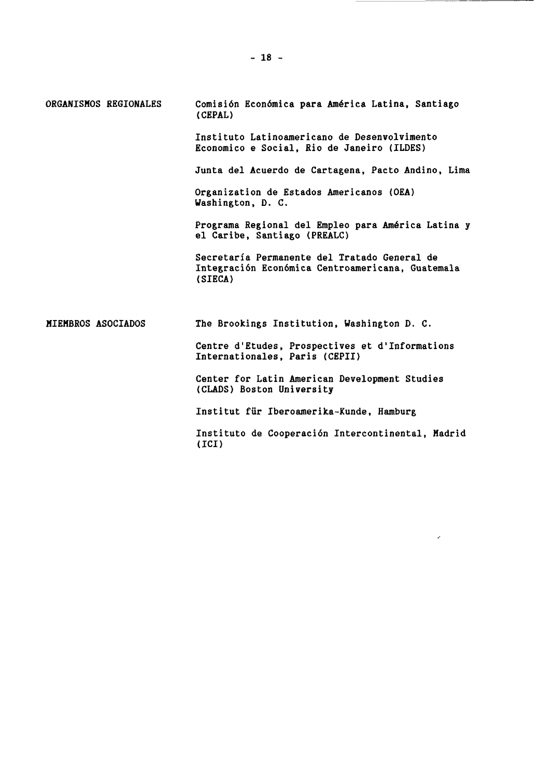| ORGANISMOS REGIONALES | Comisión Económica para América Latina, Santiago<br>(CEPAL)                                                 |
|-----------------------|-------------------------------------------------------------------------------------------------------------|
|                       | Instituto Latinoamericano de Desenvolvimento<br>Economico e Social, Rio de Janeiro (ILDES)                  |
|                       | Junta del Acuerdo de Cartagena, Pacto Andino, Lima                                                          |
|                       | Organization de Estados Americanos (OEA)<br>Washington, D. C.                                               |
|                       | Programa Regional del Empleo para América Latina y<br>el Caribe, Santiago (PREALC)                          |
|                       | Secretaría Permanente del Tratado General de<br>Integración Económica Centroamericana, Guatemala<br>(SIECA) |
| MIEMBROS ASOCIADOS    | The Brookings Institution, Washington D. C.                                                                 |
|                       | Centre d'Etudes, Prospectives et d'Informations<br>Internationales, Paris (CEPII)                           |
|                       | Center for Latin American Development Studies<br>(CLADS) Boston University                                  |
|                       | Institut für Iberoamerika-Kunde, Hamburg                                                                    |
|                       | Instituto de Cooperación Intercontinental, Madrid<br>(ICI)                                                  |

<u> Samuel Barbara (</u>

 $\label{eq:2.1} \frac{1}{\sqrt{2}}\int_{0}^{\infty}\frac{1}{\sqrt{2\pi}}\left(\frac{1}{\sqrt{2}}\right)^{2}dx\leq\frac{1}{2}\int_{0}^{\infty}\frac{1}{\sqrt{2}}\left(\frac{1}{\sqrt{2}}\right)^{2}dx.$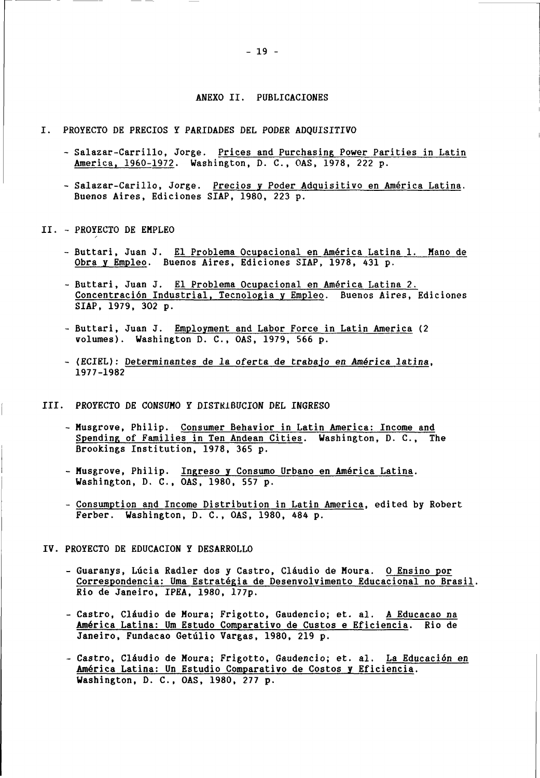#### ANEXO II. PUBLICACIONES

- I. PROYECTO DE PRECIOS Y PARIDADES DEL PODER ADQUISITIVO
	- Salazar-Carrillo, Jorge. Prices and Purchasing Power Parities in Latin America, 1960-1972. Washington, D. C., OAS, 1978, 222 p.
	- Salazar-Carillo, Jorge. Precios y Poder Adquisitivo en América Latina. Buenos Aires, Ediciones SIAP, 1980, 223 p.
- II. PROYECTO DE EMPLEO
	- Buttari, Juan J. El Problema Ocupacional en América Latina 1. Mano de Obra y Empleo. Buenos Aires, Ediciones SIAP, 1978, 431 p.
	- Buttari, Juan J. El Problema Ocupacional en América Latina 2. Concentración Industrial, Tecnología y Empleo. Buenos Aires, Ediciones SIAP, 1979, 302 p.
	- Buttari, Juan J. Employment and Labor Force in Latin America (2 volumes). Washington D. C., OAS, 1979, 566 p.
	- (ECIEL): Determinantes de la oferta de trabajo en América latina, 1977-1982
- III. PROYECTO DE CONSUMO Y DISTRIBUCIÓN DEL INGRESO
	- Musgrove, Philip. Consumer Behavior in Latin America: Income and Spending of Families in Ten Andean Cities. Washington, D. C., The Brookings Institution, 1978, 365 p.
	- Musgrove, Philip. Ingreso y Consumo Urbano en América Latina. Washington, D. C., OAS, 1980, 557 p.
	- Consumption and Income Distribution in Latin America, edited by Robert Ferber. Washington, D. C., OAS, 1980, 484 p.
- IV. PROYECTO DE EDUCACIÓN Y DESARROLLO
	- Guaranys, Lúcia Radler dos y Castro, Cláudio de Moura. O Ensino por Correspondencia: Uma Estratégia de Desenvolvimento Educacional no Brasil. Rio de Janeiro, IPEA, 1980, I77p.
	- Castro, Claudio de Moura; Frigotto, Gaudencio; et. al. A Educacao na América Latina: Um Estudo Comparativo de Gustos e Eficiencia. Rio de Janeiro, Fundacao Getúlio Vargas, 1980, 219 p.
	- Castro, Cláudio de Moura; Frigotto, Gaudencio; et. al. La Educación en América Latina: Un Estudio Comparativo de Costos y Eficiencia. Washington, D. C., OAS, 1980, 277 p.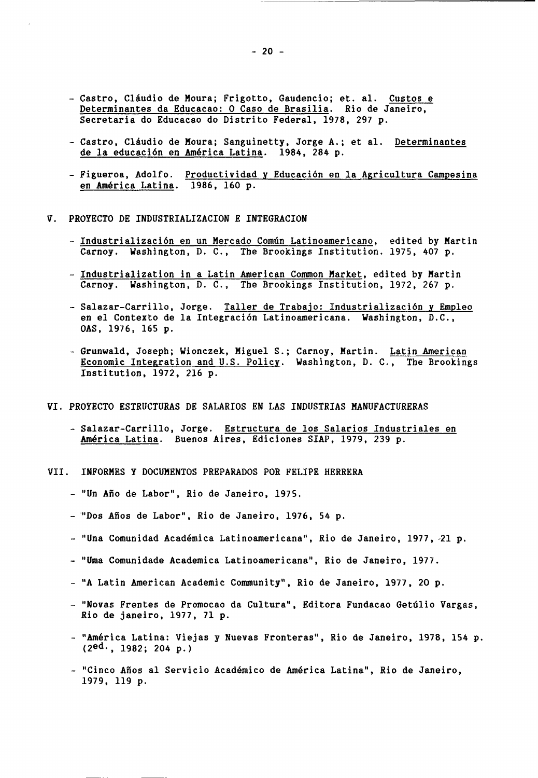- Castro, Cláudio de Moura; Frigotto, Gaudencio; et. al. Custos e Determinantes da Educacao: 0 Caso de Brasilia. Rio de Janeiro, Secretaria do Educacao do Distrito Federal, 1978, 297 p.
- Castro, Cláudio de Moura; Sanguinetty, Jorge A.; et al. Determinantes de la educación en América Latina. 1984, 284 p.
- Figueroa, Adolfo. Productividad y Educación en la Agricultura Campesina en América Latina. 1986, 160 p.
- V. PROYECTO DE INDUSTRIALIZACION E INTEGRACION
	- Industrialización en un Mercado Común Latinoamericano, edited by Martin Carnoy. Washington, D. C., The Brookings Institution. 1975, 407 p.
	- Industrialization in a Latin American Common Market, edited by Martin Carnoy. Washington, D. C., The Brookings Institution, 1972, 267 p.
	- Salazar-Carrillo, Jorge. Taller de Trabajo: Industrialización y Empleo en el Contexto de la Integración Latinoamericana. Washington, D.C., OAS, 1976, 165 p.
	- Grunwald, Joseph; Wionczek, Miguel S.; Carnoy, Martin. Latin American Economic Integration and U.S. Policy. Washington, D. C., The Brookings Institution, 1972, 216 p.
- VI. PROYECTO ESTRUCTURAS DE SALARIOS EN LAS INDUSTRIAS MANUFACTURERAS
	- Salazar-Carrillo, Jorge. Estructura de los Salarios Industriales en América Latina. Buenos Aires, Ediciones SIAP, 1979, 239 p.
- VII. INFORMES Y DOCUMENTOS PREPARADOS POR FELIPE HERRERA
	- "Un Año de Labor", Rio de Janeiro, 1975.
	- "Dos Años de Labor", Rio de Janeiro, 1976, 54 p.
	- "Una Comunidad Académica Latinoamericana", Rio de Janeiro, 1977, 21 p.
	- "Urna Comunidade Académica Latinoamericana", Rio de Janeiro, 1977.
	- "A Latin American Academic Community", Rio de Janeiro, 1977, 20 p.
	- "Novas Frentes de Promocao da Cultura", Editora Fundacao Getúlio Vargas, Rio de Janeiro, 1977, 71 p.
	- "América Latina: Viejas y Nuevas Fronteras", Rio de Janeiro, 1978, 154 p. (2ed-, 1982; 204 p.)
	- "Cinco Años al Servicio Académico de América Latina", Rio de Janeiro, 1979, 119 p.